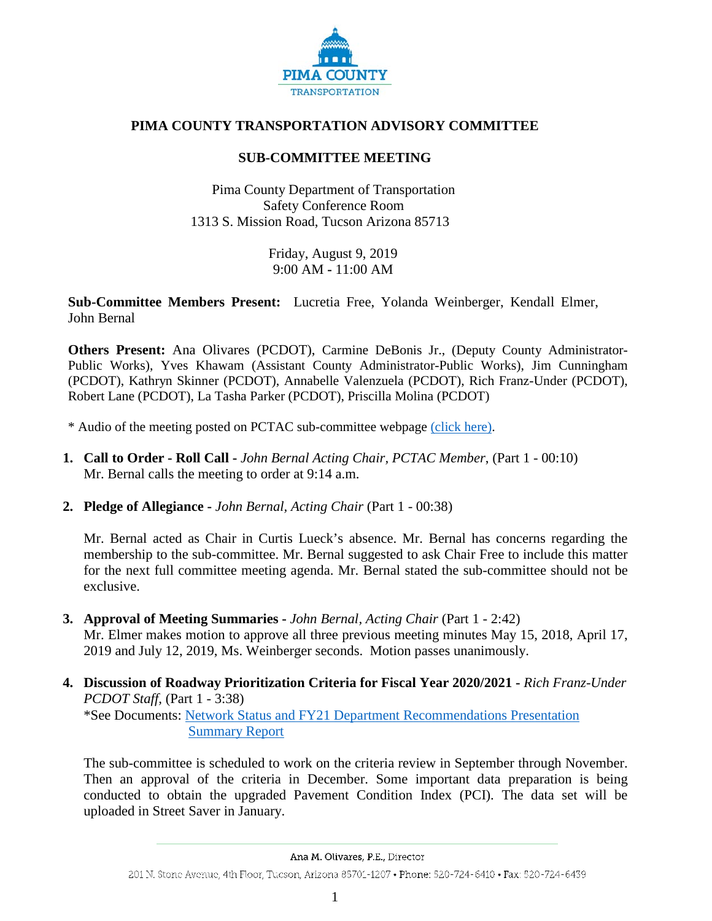

## **PIMA COUNTY TRANSPORTATION ADVISORY COMMITTEE**

## **SUB-COMMITTEE MEETING**

Pima County Department of Transportation Safety Conference Room 1313 S. Mission Road, Tucson Arizona 85713

> Friday, August 9, 2019 9:00 AM **-** 11:00 AM

**Sub-Committee Members Present:** Lucretia Free, Yolanda Weinberger, Kendall Elmer, John Bernal

**Others Present:** Ana Olivares (PCDOT), Carmine DeBonis Jr., (Deputy County Administrator-Public Works), Yves Khawam (Assistant County Administrator-Public Works), Jim Cunningham (PCDOT), Kathryn Skinner (PCDOT), Annabelle Valenzuela (PCDOT), Rich Franz-Under (PCDOT), Robert Lane (PCDOT), La Tasha Parker (PCDOT), Priscilla Molina (PCDOT)

- \* Audio of the meeting posted on PCTAC sub-committee webpage [\(click here\).](http://webcms.pima.gov/cms/One.aspx?portalId=169&pageId=355530)
- **1. Call to Order - Roll Call -** *John Bernal Acting Chair, PCTAC Member*, (Part 1 00:10) Mr. Bernal calls the meeting to order at 9:14 a.m.
- **2. Pledge of Allegiance -** *John Bernal, Acting Chair* (Part 1 00:38)

Mr. Bernal acted as Chair in Curtis Lueck's absence. Mr. Bernal has concerns regarding the membership to the sub-committee. Mr. Bernal suggested to ask Chair Free to include this matter for the next full committee meeting agenda. Mr. Bernal stated the sub-committee should not be exclusive.

- **3. Approval of Meeting Summaries -** *John Bernal, Acting Chair* (Part 1 2:42) Mr. Elmer makes motion to approve all three previous meeting minutes May 15, 2018, April 17, 2019 and July 12, 2019, Ms. Weinberger seconds. Motion passes unanimously.
- **4. Discussion of Roadway Prioritization Criteria for Fiscal Year 2020/2021 -** *Rich Franz-Under PCDOT Staff,* (Part 1 - 3:38) \*See Documents: [Network Status and FY21 Department Recommendations Presentation](http://webcms.pima.gov/UserFiles/Servers/Server_6/File/Government/Transportation/TransportationAdvisoryCommittee/SubComm-Mtgs/Subcommittee_20190809_NetworkStatusandFY21DeptRecomm.rfu2.pdf)

[Summary Report](http://webcms.pima.gov/UserFiles/Servers/Server_6/File/Government/Transportation/TransportationAdvisoryCommittee/SubComm-Mtgs/Summary%20Report_20190809_TAC-Presentation_v3.pdf)

The sub-committee is scheduled to work on the criteria review in September through November. Then an approval of the criteria in December. Some important data preparation is being conducted to obtain the upgraded Pavement Condition Index (PCI). The data set will be uploaded in Street Saver in January.

Ana M. Olivares, P.E., Director